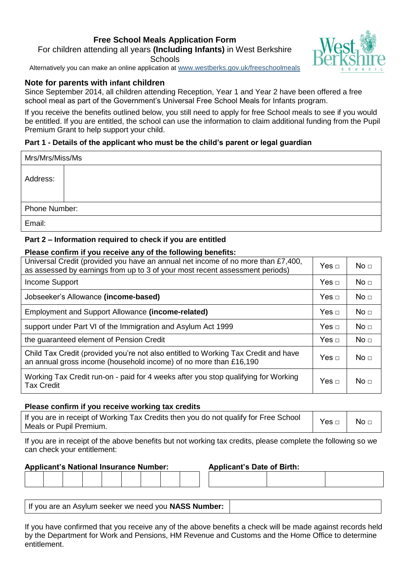# **Free School Meals Application Form** For children attending all years **(Including Infants)** in West Berkshire **Schools**



Alternatively you can make an online application at [www.westberks.gov.uk/frees](http://www.westberks.gov.uk/free)choolmeals

# **Note for parents with infant children**

Since September 2014, all children attending Reception, Year 1 and Year 2 have been offered a free school meal as part of the Government's Universal Free School Meals for Infants program.

If you receive the benefits outlined below, you still need to apply for free School meals to see if you would be entitled. If you are entitled, the school can use the information to claim additional funding from the Pupil Premium Grant to help support your child.

# **Part 1 - Details of the applicant who must be the child's parent or legal guardian**

| Mrs/Mrs/Miss/Ms |  |  |  |  |
|-----------------|--|--|--|--|
| Address:        |  |  |  |  |
| Phone Number:   |  |  |  |  |
| Email:          |  |  |  |  |

# **Part 2 – Information required to check if you are entitled**

#### **Please confirm if you receive any of the following benefits:**

| Universal Credit (provided you have an annual net income of no more than £7,400,<br>as assessed by earnings from up to 3 of your most recent assessment periods) | Yes $\Box$ | No <sub>1</sub> |
|------------------------------------------------------------------------------------------------------------------------------------------------------------------|------------|-----------------|
| Income Support                                                                                                                                                   | Yes $\Box$ | No <sub>1</sub> |
| Jobseeker's Allowance (income-based)                                                                                                                             | Yes $\Box$ | No <sub>1</sub> |
| Employment and Support Allowance (income-related)                                                                                                                |            | No <sub>1</sub> |
| support under Part VI of the Immigration and Asylum Act 1999                                                                                                     |            | No <sub>1</sub> |
| the guaranteed element of Pension Credit                                                                                                                         | Yes $\Box$ | No <sub>1</sub> |
| Child Tax Credit (provided you're not also entitled to Working Tax Credit and have<br>an annual gross income (household income) of no more than £16,190          |            | No <sub>1</sub> |
| Working Tax Credit run-on - paid for 4 weeks after you stop qualifying for Working<br><b>Tax Credit</b>                                                          |            | No <sub>□</sub> |

### **Please confirm if you receive working tax credits**

| If you are in receipt of Working Tax Credits then you do not qualify for Free School<br>Meals or Pupil Premium. | $Yes \Box$ | No <del>□</del> |
|-----------------------------------------------------------------------------------------------------------------|------------|-----------------|
|-----------------------------------------------------------------------------------------------------------------|------------|-----------------|

If you are in receipt of the above benefits but not working tax credits, please complete the following so we can check your entitlement:

### **Applicant's National Insurance Number: Applicant's Date of Birth:**

| If you are an Asylum seeker we need you <b>NASS Number:</b> |
|-------------------------------------------------------------|
|-------------------------------------------------------------|

If you have confirmed that you receive any of the above benefits a check will be made against records held by the Department for Work and Pensions, HM Revenue and Customs and the Home Office to determine entitlement.